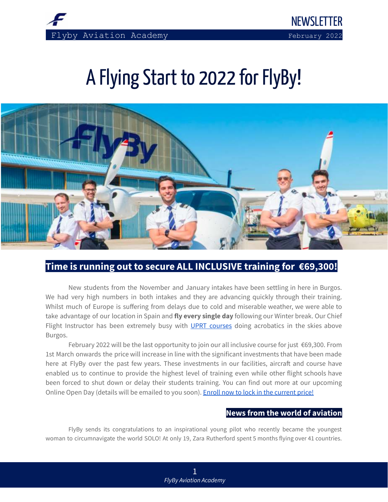

NEWSLETTER

# A Flying Start to 2022 for FlyBy!



# **Time is running out to secure ALL INCLUSIVE training for €69,300!**

 New students from the November and January intakes have been settling in here in Burgos. We had very high numbers in both intakes and they are advancing quickly through their training. Whilst much of Europe is suffering from delays due to cold and miserable weather, we were able to take advantage of our location in Spain and **fly every single day** following our Winter break. Our Chief Flight Instructor has been extremely busy with [UPRT courses](https://flybyschool.com/uprt-course/) doing acrobatics in the skies above Burgos.

 February 2022 will be the last opportunity to join our all inclusive course for just €69,300. From 1st March onwards the price will increase in line with the significant investments that have been made here at FlyBy over the past few years. These investments in our facilities, aircraft and course have enabled us to continue to provide the highest level of training even while other flight schools have been forced to shut down or delay their students training. You can find out more at our upcoming Online Open Day (details will be emailed to you soon). [Enroll now to lock in the current price!](https://flybyschool.com/contact/enroll/)

## **News from the world of aviation**

 FlyBy sends its congratulations to an inspirational young pilot who recently became the youngest woman to circumnavigate the world SOLO! At only 19, Zara Rutherford spent 5 months flying over 41 countries.